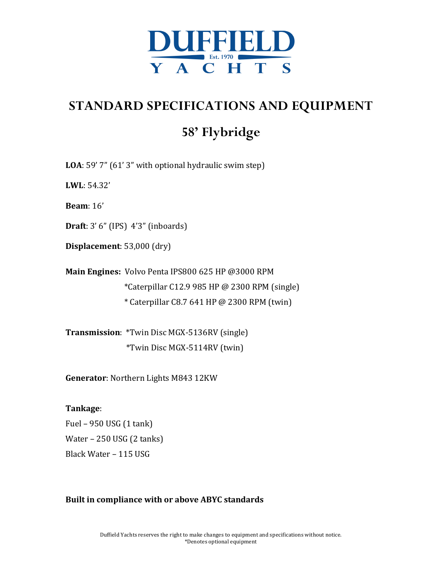

# **STANDARD SPECIFICATIONS AND EQUIPMENT**

# **58' Flybridge**

**LOA**: 59' 7" (61' 3" with optional hydraulic swim step)

**LWL**: 54.32'

**Beam**: 16'

**Draft**: 3' 6" (IPS) 4'3" (inboards)

**Displacement**: 53,000 (dry)

**Main Engines:** Volvo Penta IPS800 625 HP @3000 RPM \*Caterpillar C12.9 985 HP @ 2300 RPM (single)  $*$  Caterpillar C8.7 641 HP @ 2300 RPM (twin)

**Transmission**: \*Twin Disc MGX-5136RV (single) \*Twin Disc MGX-5114RV (twin)

**Generator:** Northern Lights M843 12KW

# **Tankage**:

Fuel  $-950$  USG (1 tank) Water  $-250$  USG (2 tanks) Black Water - 115 USG

# **Built in compliance with or above ABYC standards**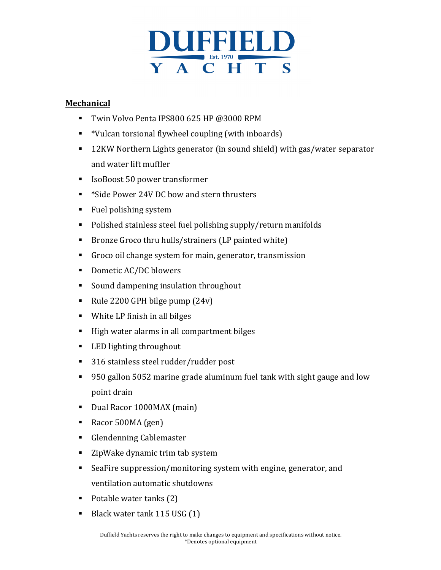

# **Mechanical**

- Twin Volvo Penta IPS800 625 HP @3000 RPM
- \*Vulcan torsional flywheel coupling (with inboards)
- 12KW Northern Lights generator (in sound shield) with gas/water separator and water lift muffler
- IsoBoost 50 power transformer
- \*Side Power 24V DC bow and stern thrusters
- Fuel polishing system
- Polished stainless steel fuel polishing supply/return manifolds
- Bronze Groco thru hulls/strainers (LP painted white)
- Groco oil change system for main, generator, transmission
- Dometic AC/DC blowers
- Sound dampening insulation throughout
- Rule 2200 GPH bilge pump  $(24v)$
- White LP finish in all bilges
- High water alarms in all compartment bilges
- LED lighting throughout
- 316 stainless steel rudder/rudder post
- 950 gallon 5052 marine grade aluminum fuel tank with sight gauge and low point drain
- Dual Racor 1000MAX (main)
- Racor 500MA (gen)
- Glendenning Cablemaster
- ZipWake dynamic trim tab system
- SeaFire suppression/monitoring system with engine, generator, and ventilation automatic shutdowns
- Potable water tanks  $(2)$
- Black water tank 115 USG (1)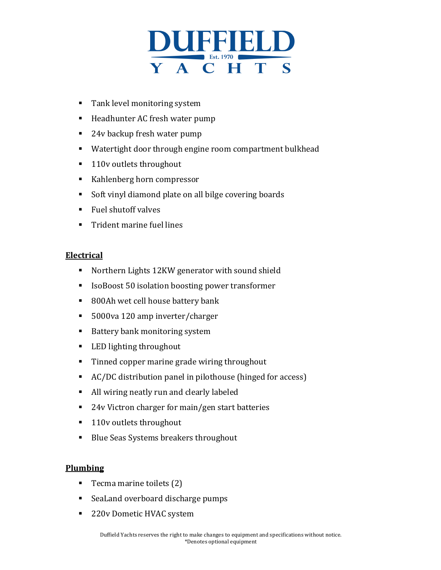

- Tank level monitoring system
- Headhunter AC fresh water pump
- 24v backup fresh water pump
- Watertight door through engine room compartment bulkhead
- 110v outlets throughout
- Kahlenberg horn compressor
- Soft vinyl diamond plate on all bilge covering boards
- Fuel shutoff valves
- Trident marine fuel lines

#### **Electrical**

- Northern Lights 12KW generator with sound shield
- IsoBoost 50 isolation boosting power transformer
- 800Ah wet cell house battery bank
- 5000va 120 amp inverter/charger
- Battery bank monitoring system
- LED lighting throughout
- Tinned copper marine grade wiring throughout
- AC/DC distribution panel in pilothouse (hinged for access)
- All wiring neatly run and clearly labeled
- 24v Victron charger for main/gen start batteries
- 110v outlets throughout
- Blue Seas Systems breakers throughout

# **Plumbing**

- For Tecma marine toilets  $(2)$
- SeaLand overboard discharge pumps
- 220v Dometic HVAC system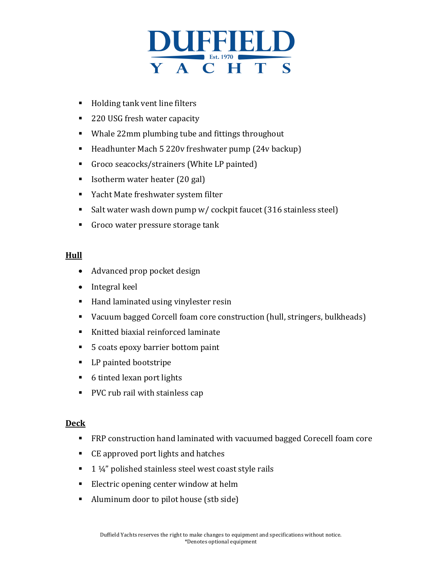

- Holding tank vent line filters
- 220 USG fresh water capacity
- Whale 22mm plumbing tube and fittings throughout
- Headhunter Mach 5 220v freshwater pump (24v backup)
- Groco seacocks/strainers (White LP painted)
- Isotherm water heater (20 gal)
- Yacht Mate freshwater system filter
- Salt water wash down pump w/ cockpit faucet  $(316 \text{ stainless steel})$
- Groco water pressure storage tank

# **Hull**

- Advanced prop pocket design
- Integral keel
- Hand laminated using vinylester resin
- Vacuum bagged Corcell foam core construction (hull, stringers, bulkheads)
- Knitted biaxial reinforced laminate
- 5 coats epoxy barrier bottom paint
- LP painted bootstripe
- 6 tinted lexan port lights
- PVC rub rail with stainless cap

# **Deck**

- FRP construction hand laminated with vacuumed bagged Corecell foam core
- CE approved port lights and hatches
- $\blacksquare$  1 1/4" polished stainless steel west coast style rails
- Electric opening center window at helm
- Aluminum door to pilot house (stb side)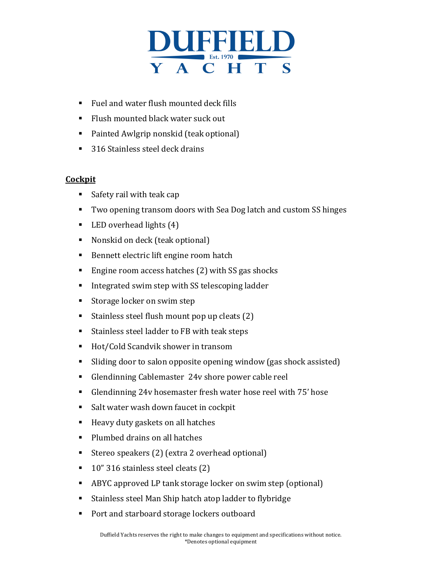

- Fuel and water flush mounted deck fills
- Flush mounted black water suck out
- Painted Awlgrip nonskid (teak optional)
- 316 Stainless steel deck drains

# **Cockpit**

- Safety rail with teak cap
- Two opening transom doors with Sea Dog latch and custom SS hinges
- LED overhead lights  $(4)$
- Nonskid on deck (teak optional)
- Bennett electric lift engine room hatch
- **Engine room access hatches (2) with SS gas shocks**
- Integrated swim step with SS telescoping ladder
- Storage locker on swim step
- Stainless steel flush mount pop up cleats  $(2)$
- Stainless steel ladder to FB with teak steps
- Hot/Cold Scandvik shower in transom
- Sliding door to salon opposite opening window (gas shock assisted)
- Glendinning Cablemaster 24v shore power cable reel
- Glendinning 24v hosemaster fresh water hose reel with 75' hose
- Salt water wash down faucet in cockpit
- Heavy duty gaskets on all hatches
- Plumbed drains on all hatches
- Stereo speakers (2) (extra 2 overhead optional)
- $\blacksquare$  10" 316 stainless steel cleats (2)
- ABYC approved LP tank storage locker on swim step (optional)
- Stainless steel Man Ship hatch atop ladder to flybridge
- Port and starboard storage lockers outboard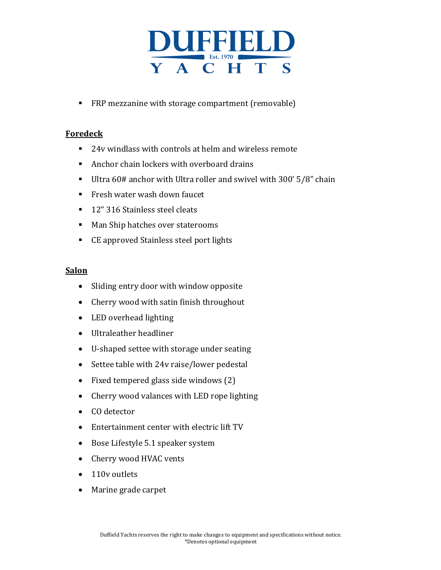

■ FRP mezzanine with storage compartment (removable)

# **Foredeck**

- 24v windlass with controls at helm and wireless remote
- Anchor chain lockers with overboard drains
- Ultra  $60#$  anchor with Ultra roller and swivel with 300'  $5/8"$  chain
- Fresh water wash down faucet
- 12" 316 Stainless steel cleats
- Man Ship hatches over staterooms
- CE approved Stainless steel port lights

#### **Salon**

- Sliding entry door with window opposite
- Cherry wood with satin finish throughout
- LED overhead lighting
- Ultraleather headliner
- U-shaped settee with storage under seating
- Settee table with 24v raise/lower pedestal
- Fixed tempered glass side windows  $(2)$
- Cherry wood valances with LED rope lighting
- CO detector
- Entertainment center with electric lift TV
- Bose Lifestyle 5.1 speaker system
- Cherry wood HVAC vents
- 110v outlets
- Marine grade carpet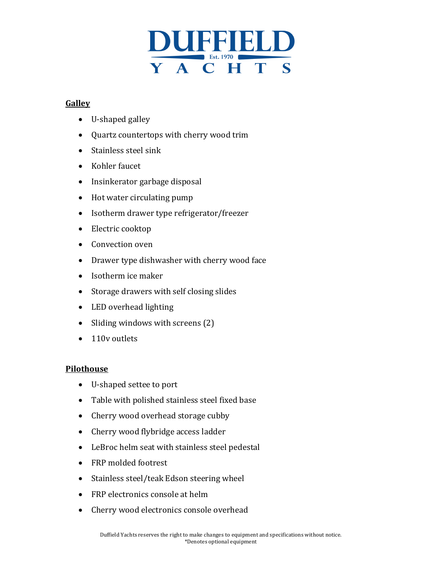

# **Galley**

- $\bullet$  U-shaped galley
- Quartz countertops with cherry wood trim
- Stainless steel sink
- Kohler faucet
- Insinkerator garbage disposal
- $\bullet$  Hot water circulating pump
- Isotherm drawer type refrigerator/freezer
- Electric cooktop
- Convection oven
- Drawer type dishwasher with cherry wood face
- $\bullet$  Isotherm ice maker
- Storage drawers with self closing slides
- LED overhead lighting
- Sliding windows with screens  $(2)$
- 110v outlets

# **Pilothouse**

- U-shaped settee to port
- Table with polished stainless steel fixed base
- Cherry wood overhead storage cubby
- Cherry wood flybridge access ladder
- LeBroc helm seat with stainless steel pedestal
- FRP molded footrest
- Stainless steel/teak Edson steering wheel
- FRP electronics console at helm
- Cherry wood electronics console overhead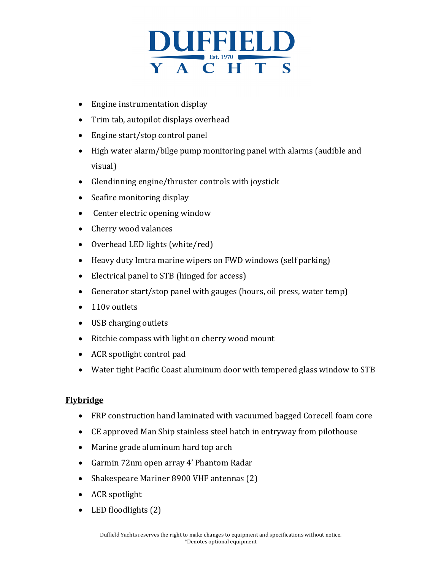

- $\bullet$  Engine instrumentation display
- Trim tab, autopilot displays overhead
- Engine start/stop control panel
- High water alarm/bilge pump monitoring panel with alarms (audible and visual)
- Glendinning engine/thruster controls with joystick
- Seafire monitoring display
- Center electric opening window
- Cherry wood valances
- Overhead LED lights (white/red)
- Heavy duty Imtra marine wipers on FWD windows (self parking)
- Electrical panel to STB (hinged for access)
- Generator start/stop panel with gauges (hours, oil press, water temp)
- 110v outlets
- USB charging outlets
- Ritchie compass with light on cherry wood mount
- ACR spotlight control pad
- Water tight Pacific Coast aluminum door with tempered glass window to STB

# **Flybridge**

- FRP construction hand laminated with vacuumed bagged Corecell foam core
- CE approved Man Ship stainless steel hatch in entryway from pilothouse
- Marine grade aluminum hard top arch
- Garmin 72nm open array 4' Phantom Radar
- Shakespeare Mariner 8900 VHF antennas (2)
- ACR spotlight
- LED floodlights  $(2)$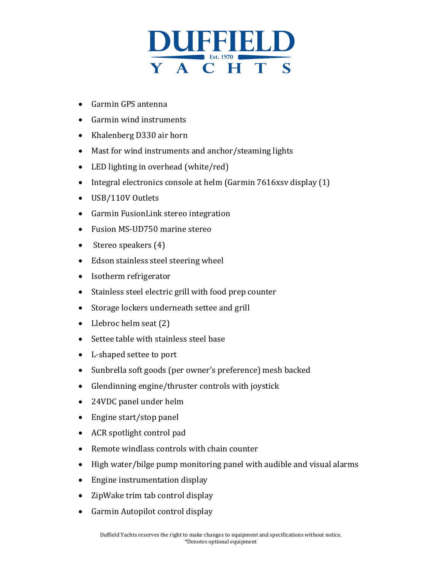

- Garmin GPS antenna
- Garmin wind instruments
- Khalenberg D330 air horn
- Mast for wind instruments and anchor/steaming lights
- LED lighting in overhead  $(white/red)$
- Integral electronics console at helm (Garmin  $7616$ xsv display  $(1)$ )
- USB/110V Outlets
- Garmin FusionLink stereo integration
- Fusion MS-UD750 marine stereo
- Stereo speakers  $(4)$
- Edson stainless steel steering wheel
- Isotherm refrigerator
- Stainless steel electric grill with food prep counter
- Storage lockers underneath settee and grill
- Llebroc helm seat  $(2)$
- Settee table with stainless steel base
- L-shaped settee to port
- Sunbrella soft goods (per owner's preference) mesh backed
- Glendinning engine/thruster controls with joystick
- 24VDC panel under helm
- $\bullet$  Engine start/stop panel
- $\bullet$  ACR spotlight control pad
- $\bullet$  Remote windlass controls with chain counter
- High water/bilge pump monitoring panel with audible and visual alarms
- $\bullet$  Engine instrumentation display
- ZipWake trim tab control display
- Garmin Autopilot control display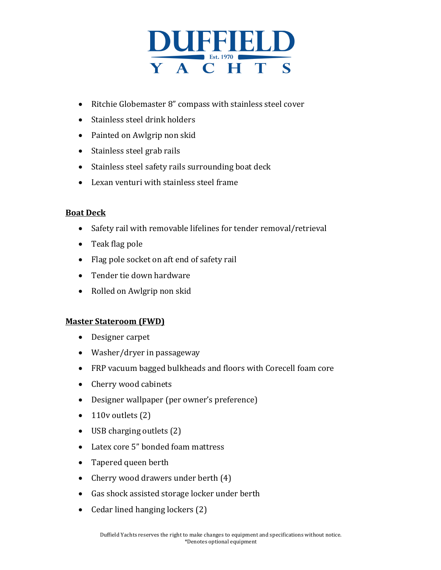

- Ritchie Globemaster 8" compass with stainless steel cover
- Stainless steel drink holders
- Painted on Awlgrip non skid
- Stainless steel grab rails
- Stainless steel safety rails surrounding boat deck
- Lexan venturi with stainless steel frame

# **Boat Deck**

- Safety rail with removable lifelines for tender removal/retrieval
- $\bullet$  Teak flag pole
- Flag pole socket on aft end of safety rail
- Tender tie down hardware
- Rolled on Awlgrip non skid

# **Master Stateroom (FWD)**

- Designer carpet
- $\bullet$  Washer/dryer in passageway
- FRP vacuum bagged bulkheads and floors with Corecell foam core
- Cherry wood cabinets
- Designer wallpaper (per owner's preference)
- $\bullet$  110v outlets (2)
- USB charging outlets  $(2)$
- Latex core 5" bonded foam mattress
- Tapered queen berth
- Cherry wood drawers under berth  $(4)$
- Gas shock assisted storage locker under berth
- Cedar lined hanging lockers (2)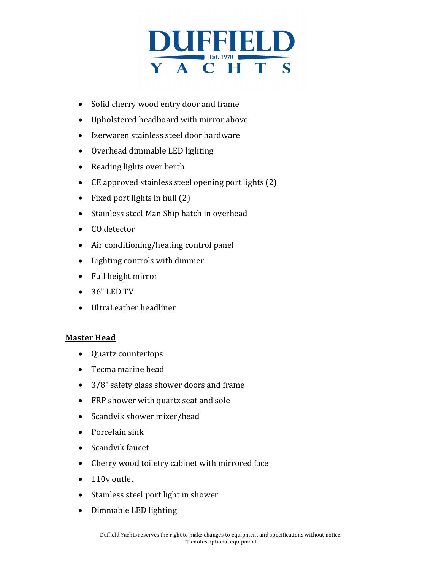

- Solid cherry wood entry door and frame
- Upholstered headboard with mirror above
- Izerwaren stainless steel door hardware
- Overhead dimmable LED lighting
- Reading lights over berth
- CE approved stainless steel opening port lights  $(2)$
- Fixed port lights in hull  $(2)$
- Stainless steel Man Ship hatch in overhead
- CO detector
- Air conditioning/heating control panel
- Lighting controls with dimmer
- Full height mirror
- $36"$  LED TV
- UltraLeather headliner

# **Master Head**

- Quartz countertops
- Tecma marine head
- $\bullet$  3/8" safety glass shower doors and frame
- FRP shower with quartz seat and sole
- Scandvik shower mixer/head
- Porcelain sink
- Scandvik faucet
- Cherry wood toiletry cabinet with mirrored face
- 110v outlet
- Stainless steel port light in shower
- Dimmable LED lighting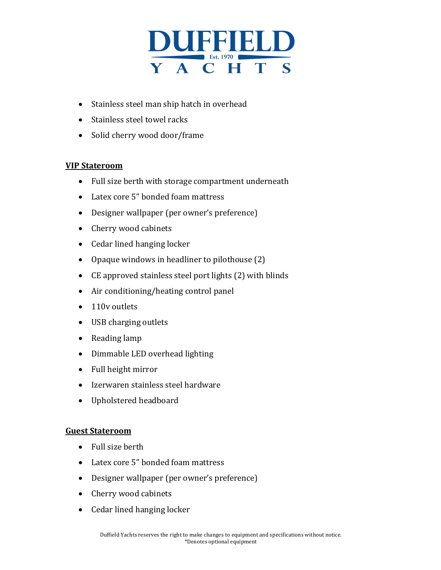

- Stainless steel man ship hatch in overhead
- Stainless steel towel racks
- Solid cherry wood door/frame

# **VIP Stateroom**

- Full size berth with storage compartment underneath
- Latex core 5" bonded foam mattress
- Designer wallpaper (per owner's preference)
- Cherry wood cabinets
- Cedar lined hanging locker
- Opaque windows in headliner to pilothouse  $(2)$
- CE approved stainless steel port lights (2) with blinds
- Air conditioning/heating control panel
- $\bullet$  110v outlets
- USB charging outlets
- Reading lamp
- Dimmable LED overhead lighting
- Full height mirror
- Izerwaren stainless steel hardware
- Upholstered headboard

#### **Guest Stateroom**

- Full size berth
- Latex core 5" bonded foam mattress
- Designer wallpaper (per owner's preference)
- Cherry wood cabinets
- Cedar lined hanging locker